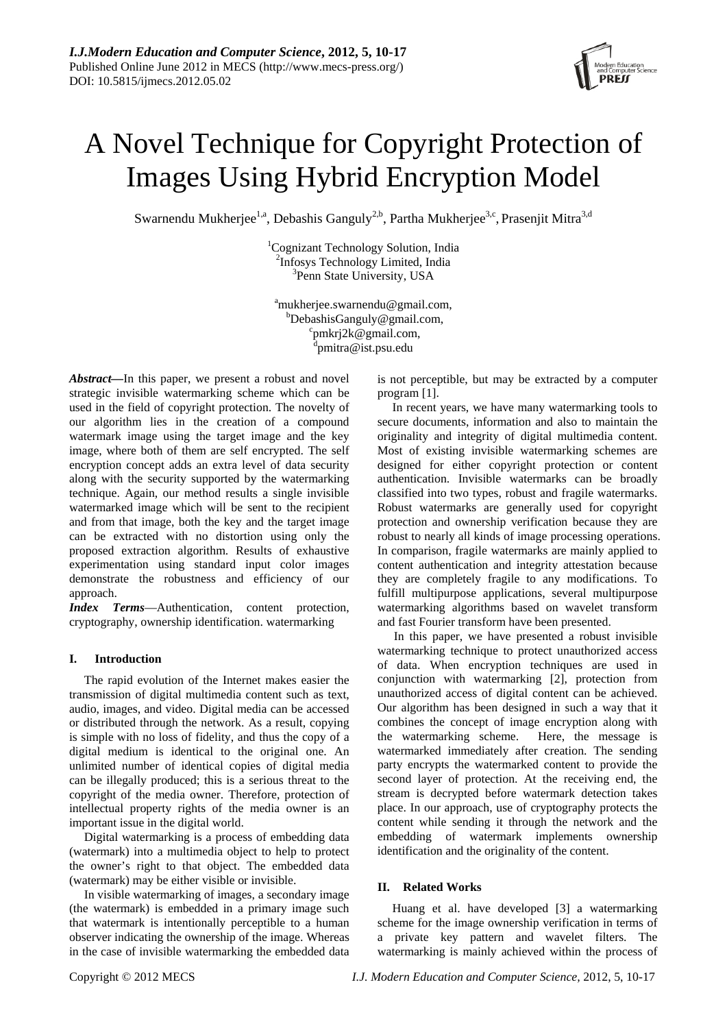

# A Novel Technique for Copyright Protection of Images Using Hybrid Encryption Model

Swarnendu Mukherjee<sup>1,a</sup>, Debashis Ganguly<sup>2,b</sup>, Partha Mukherjee<sup>3,c</sup>, Prasenjit Mitra<sup>3,d</sup>

<sup>1</sup>Cognizant Technology Solution, India  $\frac{2 \text{Infosys}}{3 \text{Dom } \text{State University}}$  Limited, India <sup>3</sup>Penn State University, USA

<sup>a</sup>mukherjee.swarnendu@gmail.com,  $b$ DebashisGanguly@gmail.com, pmkrj2k@gmail.com, <sup>d</sup>pmitra@ist.psu.edu

*Abstract—*In this paper, we present a robust and novel strategic invisible watermarking scheme which can be used in the field of copyright protection. The novelty of our algorithm lies in the creation of a compound watermark image using the target image and the key image, where both of them are self encrypted. The self encryption concept adds an extra level of data security along with the security supported by the watermarking technique. Again, our method results a single invisible watermarked image which will be sent to the recipient and from that image, both the key and the target image can be extracted with no distortion using only the proposed extraction algorithm. Results of exhaustive experimentation using standard input color images demonstrate the robustness and efficiency of our approach.

*Index Terms*—Authentication, content protection, cryptography, ownership identification. watermarking

# **I. Introduction**

The rapid evolution of the Internet makes easier the transmission of digital multimedia content such as text, audio, images, and video. Digital media can be accessed or distributed through the network. As a result, copying is simple with no loss of fidelity, and thus the copy of a digital medium is identical to the original one. An unlimited number of identical copies of digital media can be illegally produced; this is a serious threat to the copyright of the media owner. Therefore, protection of intellectual property rights of the media owner is an important issue in the digital world.

Digital watermarking is a process of embedding data (watermark) into a multimedia object to help to protect the owner's right to that object. The embedded data (watermark) may be either visible or invisible.

In visible watermarking of images, a secondary image (the watermark) is embedded in a primary image such that watermark is intentionally perceptible to a human observer indicating the ownership of the image. Whereas in the case of invisible watermarking the embedded data is not perceptible, but may be extracted by a computer program [1].

In recent years, we have many watermarking tools to secure documents, information and also to maintain the originality and integrity of digital multimedia content. Most of existing invisible watermarking schemes are designed for either copyright protection or content authentication. Invisible watermarks can be broadly classified into two types, robust and fragile watermarks. Robust watermarks are generally used for copyright protection and ownership verification because they are robust to nearly all kinds of image processing operations. In comparison, fragile watermarks are mainly applied to content authentication and integrity attestation because they are completely fragile to any modifications. To fulfill multipurpose applications, several multipurpose watermarking algorithms based on wavelet transform and fast Fourier transform have been presented.

In this paper, we have presented a robust invisible watermarking technique to protect unauthorized access of data. When encryption techniques are used in conjunction with watermarking [2], protection from unauthorized access of digital content can be achieved. Our algorithm has been designed in such a way that it combines the concept of image encryption along with the watermarking scheme. Here, the message is watermarked immediately after creation. The sending party encrypts the watermarked content to provide the second layer of protection. At the receiving end, the stream is decrypted before watermark detection takes place. In our approach, use of cryptography protects the content while sending it through the network and the embedding of watermark implements ownership identification and the originality of the content.

# **II. Related Works**

Huang et al. have developed [3] a watermarking scheme for the image ownership verification in terms of a private key pattern and wavelet filters. The watermarking is mainly achieved within the process of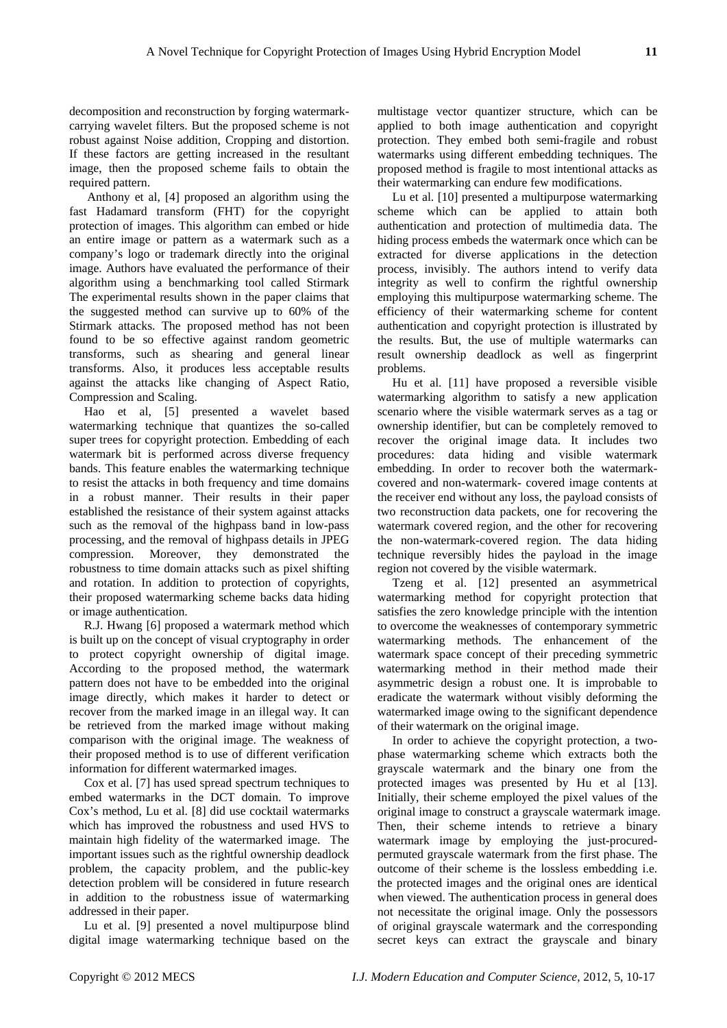decomposition and reconstruction by forging watermarkcarrying wavelet filters. But the proposed scheme is not robust against Noise addition, Cropping and distortion. If these factors are getting increased in the resultant image, then the proposed scheme fails to obtain the required pattern.

 Anthony et al, [4] proposed an algorithm using the fast Hadamard transform (FHT) for the copyright protection of images. This algorithm can embed or hide an entire image or pattern as a watermark such as a company's logo or trademark directly into the original image. Authors have evaluated the performance of their algorithm using a benchmarking tool called Stirmark The experimental results shown in the paper claims that the suggested method can survive up to 60% of the Stirmark attacks. The proposed method has not been found to be so effective against random geometric transforms, such as shearing and general linear transforms. Also, it produces less acceptable results against the attacks like changing of Aspect Ratio, Compression and Scaling.

Hao et al, [5] presented a wavelet based watermarking technique that quantizes the so-called super trees for copyright protection. Embedding of each watermark bit is performed across diverse frequency bands. This feature enables the watermarking technique to resist the attacks in both frequency and time domains in a robust manner. Their results in their paper established the resistance of their system against attacks such as the removal of the highpass band in low-pass processing, and the removal of highpass details in JPEG compression. Moreover, they demonstrated the robustness to time domain attacks such as pixel shifting and rotation. In addition to protection of copyrights, their proposed watermarking scheme backs data hiding or image authentication.

R.J. Hwang [6] proposed a watermark method which is built up on the concept of visual cryptography in order to protect copyright ownership of digital image. According to the proposed method, the watermark pattern does not have to be embedded into the original image directly, which makes it harder to detect or recover from the marked image in an illegal way. It can be retrieved from the marked image without making comparison with the original image. The weakness of their proposed method is to use of different verification information for different watermarked images.

Cox et al. [7] has used spread spectrum techniques to embed watermarks in the DCT domain. To improve Cox's method, Lu et al. [8] did use cocktail watermarks which has improved the robustness and used HVS to maintain high fidelity of the watermarked image. The important issues such as the rightful ownership deadlock problem, the capacity problem, and the public-key detection problem will be considered in future research in addition to the robustness issue of watermarking addressed in their paper.

Lu et al. [9] presented a novel multipurpose blind digital image watermarking technique based on the

multistage vector quantizer structure, which can be applied to both image authentication and copyright protection. They embed both semi-fragile and robust watermarks using different embedding techniques. The proposed method is fragile to most intentional attacks as their watermarking can endure few modifications.

Lu et al. [10] presented a multipurpose watermarking scheme which can be applied to attain both authentication and protection of multimedia data. The hiding process embeds the watermark once which can be extracted for diverse applications in the detection process, invisibly. The authors intend to verify data integrity as well to confirm the rightful ownership employing this multipurpose watermarking scheme. The efficiency of their watermarking scheme for content authentication and copyright protection is illustrated by the results. But, the use of multiple watermarks can result ownership deadlock as well as fingerprint problems.

Hu et al. [11] have proposed a reversible visible watermarking algorithm to satisfy a new application scenario where the visible watermark serves as a tag or ownership identifier, but can be completely removed to recover the original image data. It includes two procedures: data hiding and visible watermark embedding. In order to recover both the watermarkcovered and non-watermark- covered image contents at the receiver end without any loss, the payload consists of two reconstruction data packets, one for recovering the watermark covered region, and the other for recovering the non-watermark-covered region. The data hiding technique reversibly hides the payload in the image region not covered by the visible watermark.

Tzeng et al. [12] presented an asymmetrical watermarking method for copyright protection that satisfies the zero knowledge principle with the intention to overcome the weaknesses of contemporary symmetric watermarking methods. The enhancement of the watermark space concept of their preceding symmetric watermarking method in their method made their asymmetric design a robust one. It is improbable to eradicate the watermark without visibly deforming the watermarked image owing to the significant dependence of their watermark on the original image.

In order to achieve the copyright protection, a twophase watermarking scheme which extracts both the grayscale watermark and the binary one from the protected images was presented by Hu et al [13]. Initially, their scheme employed the pixel values of the original image to construct a grayscale watermark image. Then, their scheme intends to retrieve a binary watermark image by employing the just-procuredpermuted grayscale watermark from the first phase. The outcome of their scheme is the lossless embedding i.e. the protected images and the original ones are identical when viewed. The authentication process in general does not necessitate the original image. Only the possessors of original grayscale watermark and the corresponding secret keys can extract the grayscale and binary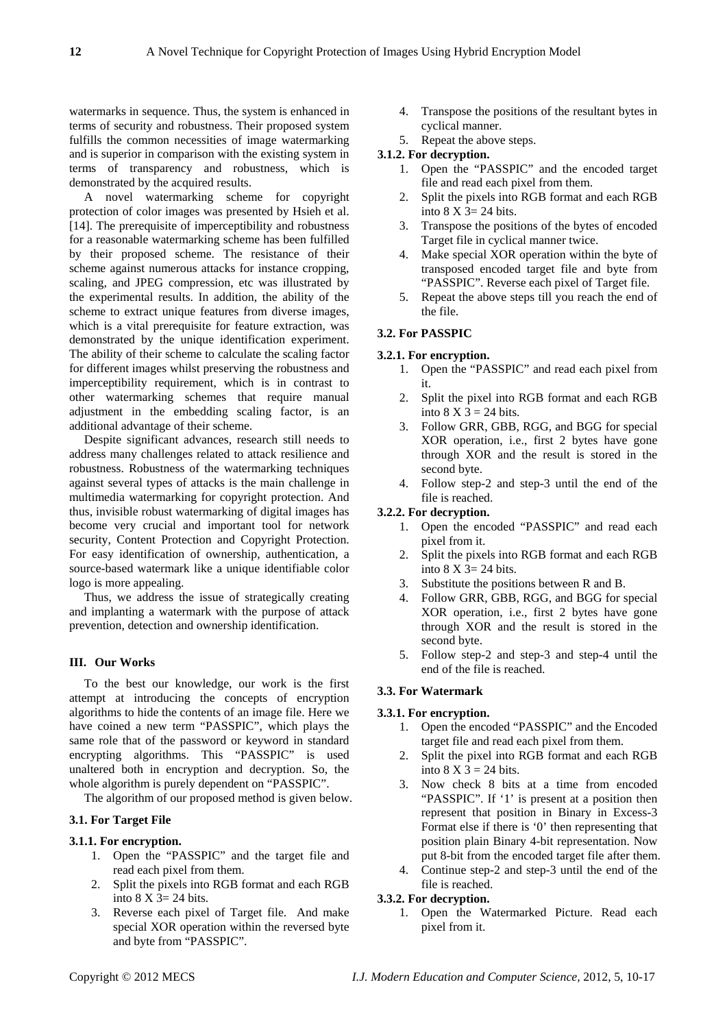watermarks in sequence. Thus, the system is enhanced in terms of security and robustness. Their proposed system fulfills the common necessities of image watermarking and is superior in comparison with the existing system in terms of transparency and robustness, which is demonstrated by the acquired results.

A novel watermarking scheme for copyright protection of color images was presented by Hsieh et al. [14]. The prerequisite of imperceptibility and robustness for a reasonable watermarking scheme has been fulfilled by their proposed scheme. The resistance of their scheme against numerous attacks for instance cropping, scaling, and JPEG compression, etc was illustrated by the experimental results. In addition, the ability of the scheme to extract unique features from diverse images, which is a vital prerequisite for feature extraction, was demonstrated by the unique identification experiment. The ability of their scheme to calculate the scaling factor for different images whilst preserving the robustness and imperceptibility requirement, which is in contrast to other watermarking schemes that require manual adjustment in the embedding scaling factor, is an additional advantage of their scheme.

Despite significant advances, research still needs to address many challenges related to attack resilience and robustness. Robustness of the watermarking techniques against several types of attacks is the main challenge in multimedia watermarking for copyright protection. And thus, invisible robust watermarking of digital images has become very crucial and important tool for network security, Content Protection and Copyright Protection. For easy identification of ownership, authentication, a source-based watermark like a unique identifiable color logo is more appealing.

Thus, we address the issue of strategically creating and implanting a watermark with the purpose of attack prevention, detection and ownership identification.

# **III. Our Works**

To the best our knowledge, our work is the first attempt at introducing the concepts of encryption algorithms to hide the contents of an image file. Here we have coined a new term "PASSPIC", which plays the same role that of the password or keyword in standard encrypting algorithms. This "PASSPIC" is used unaltered both in encryption and decryption. So, the whole algorithm is purely dependent on "PASSPIC".

The algorithm of our proposed method is given below.

#### **3.1. For Target File**

#### **3.1.1. For encryption.**

- 1. Open the "PASSPIC" and the target file and read each pixel from them.
- 2. Split the pixels into RGB format and each RGB into  $8 \text{ X } 3 = 24 \text{ bits.}$
- 3. Reverse each pixel of Target file. And make special XOR operation within the reversed byte and byte from "PASSPIC".
- 4. Transpose the positions of the resultant bytes in cyclical manner.
- 5. Repeat the above steps.

# **3.1.2. For decryption.**

- 1. Open the "PASSPIC" and the encoded target file and read each pixel from them.
- 2. Split the pixels into RGB format and each RGB into  $8 \text{ X } 3 = 24 \text{ bits.}$
- 3. Transpose the positions of the bytes of encoded Target file in cyclical manner twice.
- 4. Make special XOR operation within the byte of transposed encoded target file and byte from "PASSPIC". Reverse each pixel of Target file.
- 5. Repeat the above steps till you reach the end of the file.

# **3.2. For PASSPIC**

#### **3.2.1. For encryption.**

- 1. Open the "PASSPIC" and read each pixel from it.
- 2. Split the pixel into RGB format and each RGB into  $8 \text{ X } 3 = 24 \text{ bits.}$
- 3. Follow GRR, GBB, RGG, and BGG for special XOR operation, i.e., first 2 bytes have gone through XOR and the result is stored in the second byte.
- 4. Follow step-2 and step-3 until the end of the file is reached.

#### **3.2.2. For decryption.**

- 1. Open the encoded "PASSPIC" and read each pixel from it.
- 2. Split the pixels into RGB format and each RGB into  $8 \text{ X } 3 = 24 \text{ bits.}$
- 3. Substitute the positions between R and B.
- 4. Follow GRR, GBB, RGG, and BGG for special XOR operation, i.e., first 2 bytes have gone through XOR and the result is stored in the second byte.
- 5. Follow step-2 and step-3 and step-4 until the end of the file is reached.

### **3.3. For Watermark**

# **3.3.1. For encryption.**

- 1. Open the encoded "PASSPIC" and the Encoded target file and read each pixel from them.
- 2. Split the pixel into RGB format and each RGB into  $8 \text{ X } 3 = 24 \text{ bits}$ .
- 3. Now check 8 bits at a time from encoded "PASSPIC". If '1' is present at a position then represent that position in Binary in Excess-3 Format else if there is '0' then representing that position plain Binary 4-bit representation. Now put 8-bit from the encoded target file after them.
- 4. Continue step-2 and step-3 until the end of the file is reached.

#### **3.3.2. For decryption.**

1. Open the Watermarked Picture. Read each pixel from it.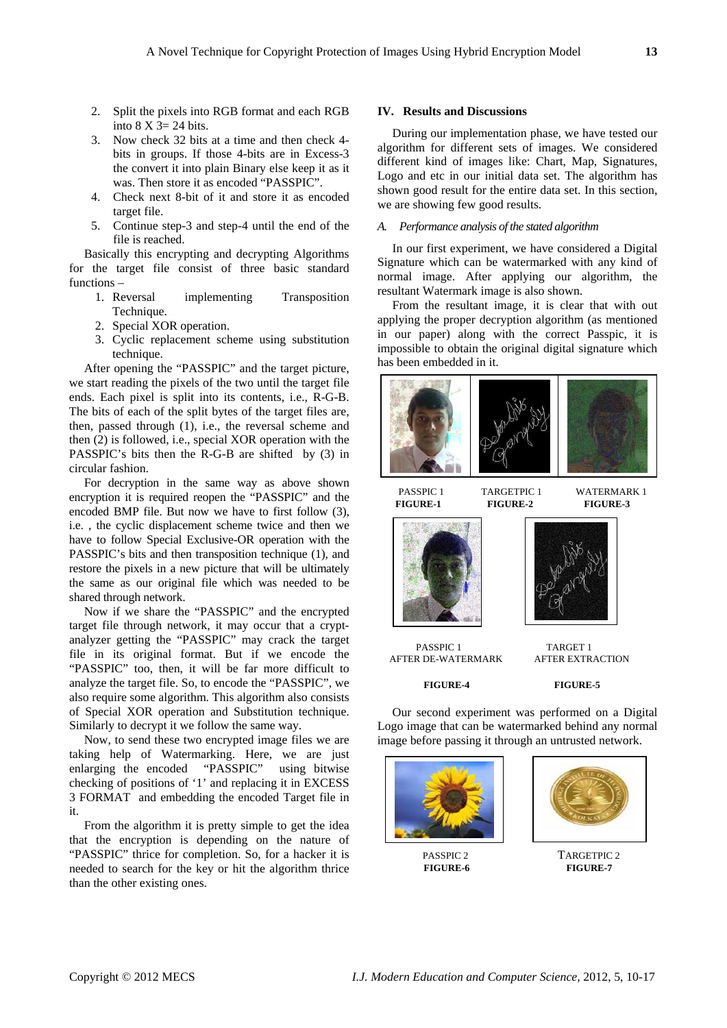- 2. Split the pixels into RGB format and each RGB into  $8 \text{ X } 3 = 24 \text{ bits.}$
- 3. Now check 32 bits at a time and then check 4 bits in groups. If those 4-bits are in Excess-3 the convert it into plain Binary else keep it as it was. Then store it as encoded "PASSPIC".
- 4. Check next 8-bit of it and store it as encoded target file.
- 5. Continue step-3 and step-4 until the end of the file is reached.

Basically this encrypting and decrypting Algorithms for the target file consist of three basic standard functions –

- 1. Reversal implementing Transposition Technique.
- 2. Special XOR operation.
- 3. Cyclic replacement scheme using substitution technique.

After opening the "PASSPIC" and the target picture, we start reading the pixels of the two until the target file ends. Each pixel is split into its contents, i.e., R-G-B. The bits of each of the split bytes of the target files are, then, passed through (1), i.e., the reversal scheme and then (2) is followed, i.e., special XOR operation with the PASSPIC's bits then the R-G-B are shifted by (3) in circular fashion.

For decryption in the same way as above shown encryption it is required reopen the "PASSPIC" and the encoded BMP file. But now we have to first follow (3), i.e. , the cyclic displacement scheme twice and then we have to follow Special Exclusive-OR operation with the PASSPIC's bits and then transposition technique (1), and restore the pixels in a new picture that will be ultimately the same as our original file which was needed to be shared through network.

Now if we share the "PASSPIC" and the encrypted target file through network, it may occur that a cryptanalyzer getting the "PASSPIC" may crack the target file in its original format. But if we encode the "PASSPIC" too, then, it will be far more difficult to analyze the target file. So, to encode the "PASSPIC", we also require some algorithm. This algorithm also consists of Special XOR operation and Substitution technique. Similarly to decrypt it we follow the same way.

Now, to send these two encrypted image files we are taking help of Watermarking. Here, we are just enlarging the encoded "PASSPIC" using bitwise checking of positions of '1' and replacing it in EXCESS 3 FORMAT and embedding the encoded Target file in it.

From the algorithm it is pretty simple to get the idea that the encryption is depending on the nature of "PASSPIC" thrice for completion. So, for a hacker it is needed to search for the key or hit the algorithm thrice than the other existing ones.

#### **IV. Results and Discussions**

During our implementation phase, we have tested our algorithm for different sets of images. We considered different kind of images like: Chart, Map, Signatures, Logo and etc in our initial data set. The algorithm has shown good result for the entire data set. In this section, we are showing few good results.

# *A. Performance analysis of the stated algorithm*

In our first experiment, we have considered a Digital Signature which can be watermarked with any kind of normal image. After applying our algorithm, the resultant Watermark image is also shown.

From the resultant image, it is clear that with out applying the proper decryption algorithm (as mentioned in our paper) along with the correct Passpic, it is impossible to obtain the original digital signature which has been embedded in it.



**FIGURE-1 FIGURE-2 FIGURE-3** 





PASSPIC 1 TARGET 1<br>R DE-WATERMARK AFTER EXTRACTION AFTER DE-WATERMARK

 **FIGURE-4 FIGURE-5**

Our second experiment was performed on a Digital Logo image that can be watermarked behind any normal image before passing it through an untrusted network.



**FIGURE-6** 



PASSPIC 2 TARGETPIC 2<br>FIGURE-6 FIGURE-7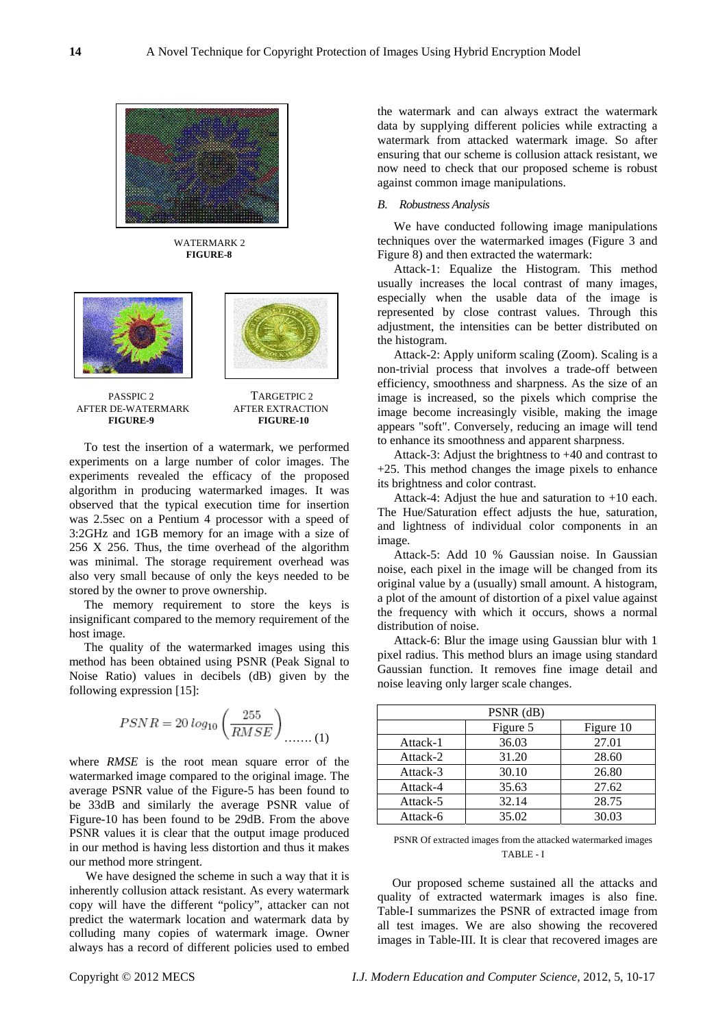

 WATERMARK 2 **FIGURE-8** 



AFTER DE-WATERMARK  **FIGURE-9 FIGURE-10**

PASSPIC 2 TARGETPIC 2<br>DE-WATERMARK AFTER EXTRACTION

To test the insertion of a watermark, we performed experiments on a large number of color images. The experiments revealed the efficacy of the proposed algorithm in producing watermarked images. It was observed that the typical execution time for insertion was 2.5sec on a Pentium 4 processor with a speed of 3:2GHz and 1GB memory for an image with a size of 256 X 256. Thus, the time overhead of the algorithm was minimal. The storage requirement overhead was also very small because of only the keys needed to be stored by the owner to prove ownership.

The memory requirement to store the keys is insignificant compared to the memory requirement of the host image.

The quality of the watermarked images using this method has been obtained using PSNR (Peak Signal to Noise Ratio) values in decibels (dB) given by the following expression [15]:

$$
PSNR = 20\log_{10}\left(\frac{255}{RMSE}\right)_{\dots\dots\dots(1)}
$$

where *RMSE* is the root mean square error of the watermarked image compared to the original image. The average PSNR value of the Figure-5 has been found to be 33dB and similarly the average PSNR value of Figure-10 has been found to be 29dB. From the above PSNR values it is clear that the output image produced in our method is having less distortion and thus it makes our method more stringent.

We have designed the scheme in such a way that it is inherently collusion attack resistant. As every watermark copy will have the different "policy", attacker can not predict the watermark location and watermark data by colluding many copies of watermark image. Owner always has a record of different policies used to embed

the watermark and can always extract the watermark data by supplying different policies while extracting a watermark from attacked watermark image. So after ensuring that our scheme is collusion attack resistant, we now need to check that our proposed scheme is robust against common image manipulations.

#### *B. Robustness Analysis*

We have conducted following image manipulations techniques over the watermarked images (Figure 3 and Figure 8) and then extracted the watermark:

Attack-1: Equalize the Histogram. This method usually increases the local contrast of many images, especially when the usable data of the image is represented by close contrast values. Through this adjustment, the intensities can be better distributed on the histogram.

Attack-2: Apply uniform scaling (Zoom). Scaling is a non-trivial process that involves a trade-off between efficiency, smoothness and sharpness. As the size of an image is increased, so the [pixels](http://en.wikipedia.org/wiki/Pixel) which comprise the image become increasingly visible, making the image appears "soft". Conversely, reducing an image will tend to enhance its smoothness and apparent sharpness.

Attack-3: Adjust the brightness to +40 and contrast to +25. This method changes the image pixels to enhance its brightness and color contrast.

Attack-4: Adjust the hue and saturation to +10 each. The Hue/Saturation effect adjusts the hue, saturation, and lightness of individual color components in an image.

Attack-5: Add 10 % Gaussian noise. In [Gaussian](http://en.wikipedia.org/wiki/Gaussian_noise)  [noise](http://en.wikipedia.org/wiki/Gaussian_noise), each pixel in the image will be changed from its original value by a (usually) small amount. A histogram, a plot of the amount of distortion of a pixel value against the frequency with which it occurs, shows a [normal](http://en.wikipedia.org/wiki/Normal_distribution)  [distribution](http://en.wikipedia.org/wiki/Normal_distribution) of noise.

Attack-6: Blur the image using Gaussian blur with 1 pixel radius. This method blurs an image using standard Gaussian function. It removes fine image detail and noise leaving only larger scale changes.

| PSNR (dB) |          |           |
|-----------|----------|-----------|
|           | Figure 5 | Figure 10 |
| Attack-1  | 36.03    | 27.01     |
| Attack-2  | 31.20    | 28.60     |
| Attack-3  | 30.10    | 26.80     |
| Attack-4  | 35.63    | 27.62     |
| Attack-5  | 32.14    | 28.75     |
| Attack-6  | 35.02    | 30.03     |

#### PSNR Of extracted images from the attacked watermarked images TABLE - I

Our proposed scheme sustained all the attacks and quality of extracted watermark images is also fine. Table-I summarizes the PSNR of extracted image from all test images. We are also showing the recovered images in Table-III. It is clear that recovered images are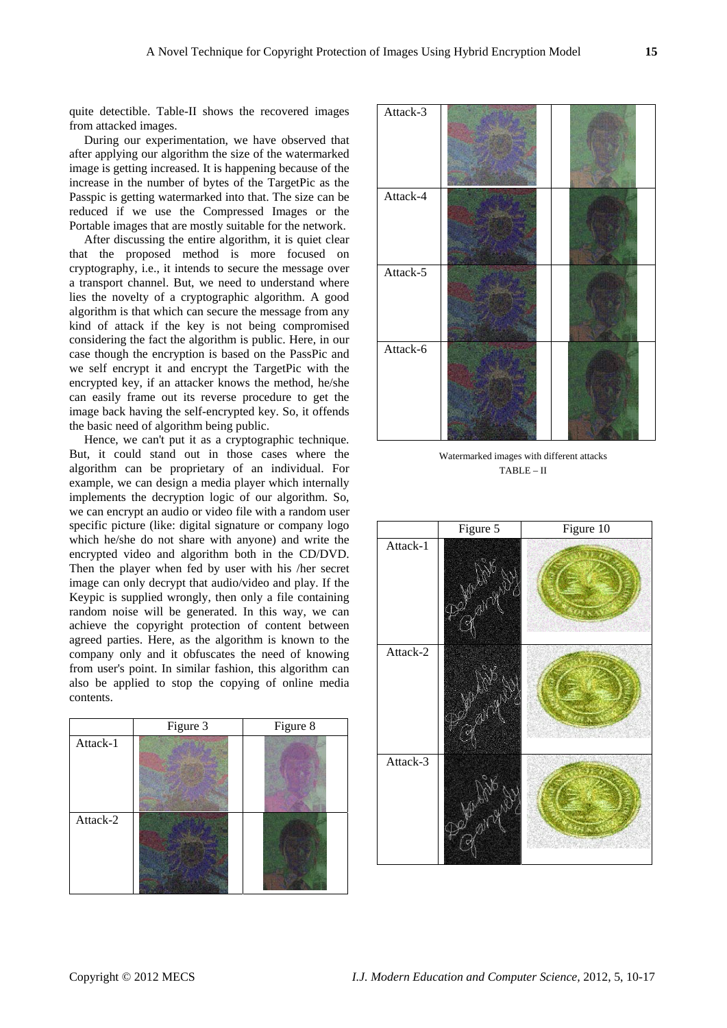quite detectible. Table-II shows the recovered images from attacked images.

During our experimentation, we have observed that after applying our algorithm the size of the watermarked image is getting increased. It is happening because of the increase in the number of bytes of the TargetPic as the Passpic is getting watermarked into that. The size can be reduced if we use the Compressed Images or the Portable images that are mostly suitable for the network.

After discussing the entire algorithm, it is quiet clear that the proposed method is more focused on cryptography, i.e., it intends to secure the message over a transport channel. But, we need to understand where lies the novelty of a cryptographic algorithm. A good algorithm is that which can secure the message from any kind of attack if the key is not being compromised considering the fact the algorithm is public. Here, in our case though the encryption is based on the PassPic and we self encrypt it and encrypt the TargetPic with the encrypted key, if an attacker knows the method, he/she can easily frame out its reverse procedure to get the image back having the self-encrypted key. So, it offends the basic need of algorithm being public.

Hence, we can't put it as a cryptographic technique. But, it could stand out in those cases where the algorithm can be proprietary of an individual. For example, we can design a media player which internally implements the decryption logic of our algorithm. So, we can encrypt an audio or video file with a random user specific picture (like: digital signature or company logo which he/she do not share with anyone) and write the encrypted video and algorithm both in the CD/DVD. Then the player when fed by user with his /her secret image can only decrypt that audio/video and play. If the Keypic is supplied wrongly, then only a file containing random noise will be generated. In this way, we can achieve the copyright protection of content between agreed parties. Here, as the algorithm is known to the company only and it obfuscates the need of knowing from user's point. In similar fashion, this algorithm can also be applied to stop the copying of online media contents.

|          | Figure 3 | Figure 8 |
|----------|----------|----------|
| Attack-1 |          |          |
| Attack-2 |          |          |



Watermarked images with different attacks TABLE – II

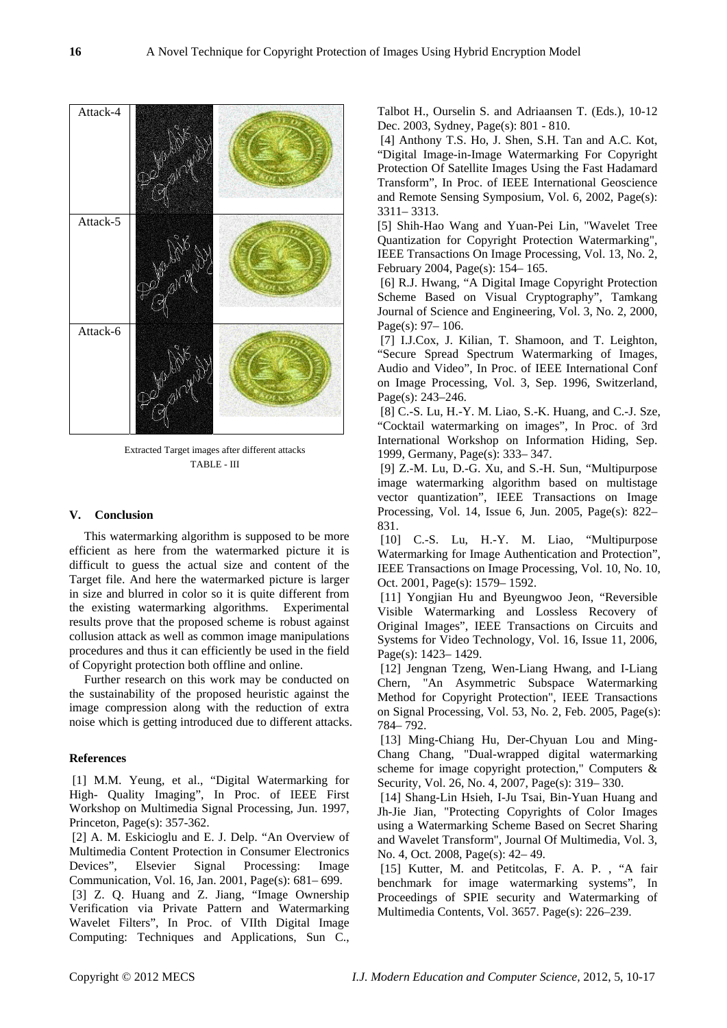Extracted Target images after different attacks TABLE - III

### **V. Conclusion**

This watermarking algorithm is supposed to be more efficient as here from the watermarked picture it is difficult to guess the actual size and content of the Target file. And here the watermarked picture is larger in size and blurred in color so it is quite different from the existing watermarking algorithms. Experimental results prove that the proposed scheme is robust against collusion attack as well as common image manipulations procedures and thus it can efficiently be used in the field of Copyright protection both offline and online.

Further research on this work may be conducted on the sustainability of the proposed heuristic against the image compression along with the reduction of extra noise which is getting introduced due to different attacks.

# **References**

 [1] M.M. Yeung, et al., "Digital Watermarking for High- Quality Imaging", In Proc. of IEEE First Workshop on Multimedia Signal Processing, Jun. 1997, Princeton, Page(s): 357-362.

 [2] A. M. Eskicioglu and E. J. Delp. "An Overview of Multimedia Content Protection in Consumer Electronics Devices", Elsevier Signal Processing: Image Communication, Vol. 16, Jan. 2001, Page(s): 681– 699.

 [3] Z. Q. Huang and Z. Jiang, "Image Ownership Verification via Private Pattern and Watermarking Wavelet Filters", In Proc. of VIIth Digital Image Computing: Techniques and Applications, Sun C., Talbot H., Ourselin S. and Adriaansen T. (Eds.), 10-12 Dec. 2003, Sydney, Page(s): 801 - 810.

 [4] Anthony T.S. Ho, J. Shen, S.H. Tan and A.C. Kot, "Digital Image-in-Image Watermarking For Copyright Protection Of Satellite Images Using the Fast Hadamard Transform", In Proc. of IEEE International Geoscience and Remote Sensing Symposium, Vol. 6, 2002, Page(s): 3311– 3313.

[5] Shih-Hao Wang and Yuan-Pei Lin, "Wavelet Tree Quantization for Copyright Protection Watermarking", IEEE Transactions On Image Processing, Vol. 13, No. 2, February 2004, Page(s): 154– 165.

 [6] R.J. Hwang, "A Digital Image Copyright Protection Scheme Based on Visual Cryptography", Tamkang Journal of Science and Engineering, Vol. 3, No. 2, 2000, Page(s): 97 – 106.

 [7] I.J.Cox, J. Kilian, T. Shamoon, and T. Leighton, "Secure Spread Spectrum Watermarking of Images, Audio and Video", In Proc. of IEEE International Conf on Image Processing, Vol. 3, Sep. 1996, Switzerland, Page(s): 243–246.

 [8] C.-S. Lu, H.-Y. M. Liao, S.-K. Huang, and C.-J. Sze, "Cocktail watermarking on images", In Proc. of 3rd International Workshop on Information Hiding, Sep. 1999, Germany, Page(s): 333– 347.

 [9] Z.-M. Lu, D.-G. Xu, and S.-H. Sun, "Multipurpose image watermarking algorithm based on multistage vector quantization", IEEE Transactions on Image Processing, Vol. 14, Issue 6, Jun. 2005, Page(s): 822– 831.

 [10] C.-S. Lu, H.-Y. M. Liao, "Multipurpose Watermarking for Image Authentication and Protection", IEEE Transactions on Image Processing, Vol. 10, No. 10, Oct. 2001, Page(s): 1579– 1592.

 [11] Yongjian Hu and Byeungwoo Jeon, "Reversible Visible Watermarking and Lossless Recovery of Original Images", IEEE Transactions on Circuits and Systems for Video Technology, Vol. 16, Issue 11, 2006, Page(s): 1423– 1429.

 [12] Jengnan Tzeng, Wen-Liang Hwang, and I-Liang Chern, "An Asymmetric Subspace Watermarking Method for Copyright Protection", IEEE Transactions on Signal Processing, Vol. 53, No. 2, Feb. 2005, Page(s): 784– 792.

 [13] Ming-Chiang Hu, Der-Chyuan Lou and Ming-Chang Chang, "Dual-wrapped digital watermarking scheme for image copyright protection," Computers & Security, Vol. 26, No. 4, 2007, Page(s): 319– 330.

 [14] Shang-Lin Hsieh, I-Ju Tsai, Bin-Yuan Huang and Jh-Jie Jian, "Protecting Copyrights of Color Images using a Watermarking Scheme Based on Secret Sharing and Wavelet Transform", Journal Of Multimedia, Vol. 3, No. 4, Oct. 2008, Page(s): 42– 49.

[15] Kutter, M. and Petitcolas, F. A. P., "A fair benchmark for image watermarking systems", In Proceedings of SPIE security and Watermarking of Multimedia Contents, Vol. 3657. Page(s): 226–239.